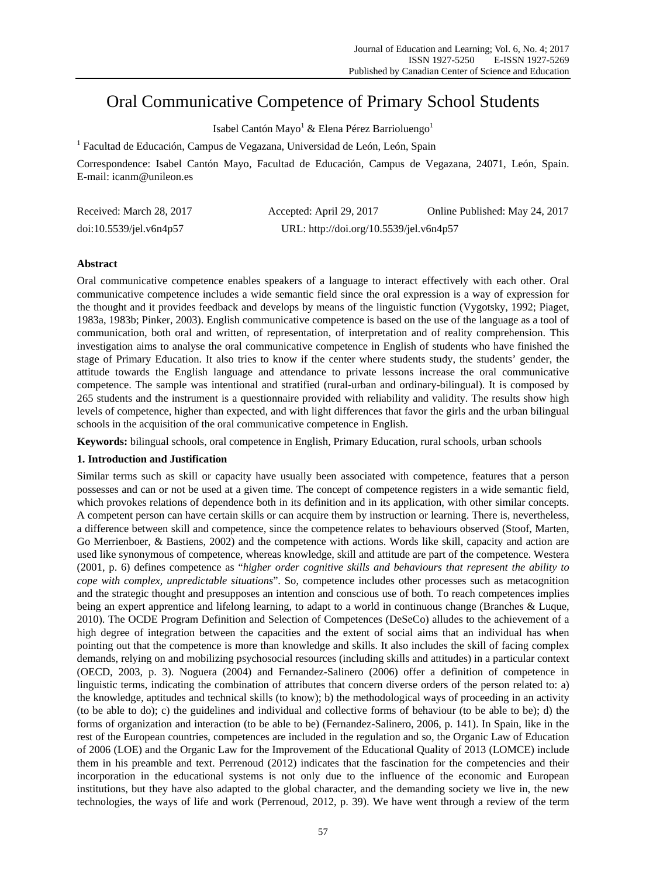# Oral Communicative Competence of Primary School Students

Isabel Cantón Mayo $^1$  & Elena Pérez Barrioluengo $^1$ 

<sup>1</sup> Facultad de Educación, Campus de Vegazana, Universidad de León, León, Spain

Correspondence: Isabel Cantón Mayo, Facultad de Educación, Campus de Vegazana, 24071, León, Spain. E-mail: icanm@unileon.es

| Received: March 28, 2017 | Accepted: April 29, 2017                | Online Published: May 24, 2017 |
|--------------------------|-----------------------------------------|--------------------------------|
| doi:10.5539/iel.v6n4p57  | URL: http://doi.org/10.5539/jel.v6n4p57 |                                |

# **Abstract**

Oral communicative competence enables speakers of a language to interact effectively with each other. Oral communicative competence includes a wide semantic field since the oral expression is a way of expression for the thought and it provides feedback and develops by means of the linguistic function (Vygotsky, 1992; Piaget, 1983a, 1983b; Pinker, 2003). English communicative competence is based on the use of the language as a tool of communication, both oral and written, of representation, of interpretation and of reality comprehension. This investigation aims to analyse the oral communicative competence in English of students who have finished the stage of Primary Education. It also tries to know if the center where students study, the students' gender, the attitude towards the English language and attendance to private lessons increase the oral communicative competence. The sample was intentional and stratified (rural-urban and ordinary-bilingual). It is composed by 265 students and the instrument is a questionnaire provided with reliability and validity. The results show high levels of competence, higher than expected, and with light differences that favor the girls and the urban bilingual schools in the acquisition of the oral communicative competence in English.

**Keywords:** bilingual schools, oral competence in English, Primary Education, rural schools, urban schools

# **1. Introduction and Justification**

Similar terms such as skill or capacity have usually been associated with competence, features that a person possesses and can or not be used at a given time. The concept of competence registers in a wide semantic field, which provokes relations of dependence both in its definition and in its application, with other similar concepts. A competent person can have certain skills or can acquire them by instruction or learning. There is, nevertheless, a difference between skill and competence, since the competence relates to behaviours observed (Stoof, Marten, Go Merrienboer, & Bastiens, 2002) and the competence with actions. Words like skill, capacity and action are used like synonymous of competence, whereas knowledge, skill and attitude are part of the competence. Westera (2001, p. 6) defines competence as "*higher order cognitive skills and behaviours that represent the ability to cope with complex, unpredictable situations*". So, competence includes other processes such as metacognition and the strategic thought and presupposes an intention and conscious use of both. To reach competences implies being an expert apprentice and lifelong learning, to adapt to a world in continuous change (Branches & Luque, 2010). The OCDE Program Definition and Selection of Competences (DeSeCo) alludes to the achievement of a high degree of integration between the capacities and the extent of social aims that an individual has when pointing out that the competence is more than knowledge and skills. It also includes the skill of facing complex demands, relying on and mobilizing psychosocial resources (including skills and attitudes) in a particular context (OECD, 2003, p. 3). Noguera (2004) and Fernandez-Salinero (2006) offer a definition of competence in linguistic terms, indicating the combination of attributes that concern diverse orders of the person related to: a) the knowledge, aptitudes and technical skills (to know); b) the methodological ways of proceeding in an activity (to be able to do); c) the guidelines and individual and collective forms of behaviour (to be able to be); d) the forms of organization and interaction (to be able to be) (Fernandez-Salinero, 2006, p. 141). In Spain, like in the rest of the European countries, competences are included in the regulation and so, the Organic Law of Education of 2006 (LOE) and the Organic Law for the Improvement of the Educational Quality of 2013 (LOMCE) include them in his preamble and text. Perrenoud (2012) indicates that the fascination for the competencies and their incorporation in the educational systems is not only due to the influence of the economic and European institutions, but they have also adapted to the global character, and the demanding society we live in, the new technologies, the ways of life and work (Perrenoud, 2012, p. 39). We have went through a review of the term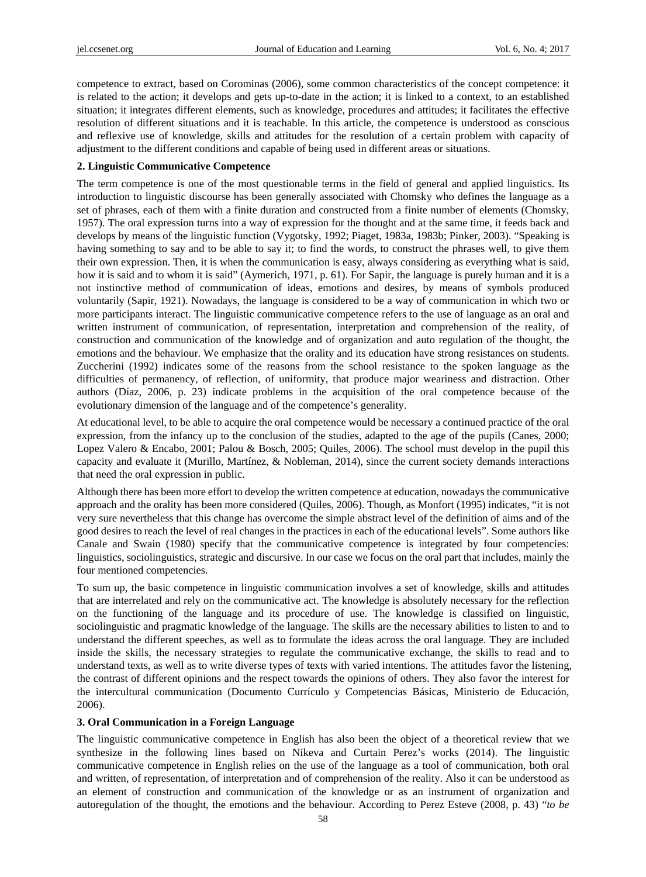competence to extract, based on Corominas (2006), some common characteristics of the concept competence: it is related to the action; it develops and gets up-to-date in the action; it is linked to a context, to an established situation; it integrates different elements, such as knowledge, procedures and attitudes; it facilitates the effective resolution of different situations and it is teachable. In this article, the competence is understood as conscious and reflexive use of knowledge, skills and attitudes for the resolution of a certain problem with capacity of adjustment to the different conditions and capable of being used in different areas or situations.

## **2. Linguistic Communicative Competence**

The term competence is one of the most questionable terms in the field of general and applied linguistics. Its introduction to linguistic discourse has been generally associated with Chomsky who defines the language as a set of phrases, each of them with a finite duration and constructed from a finite number of elements (Chomsky, 1957). The oral expression turns into a way of expression for the thought and at the same time, it feeds back and develops by means of the linguistic function (Vygotsky, 1992; Piaget, 1983a, 1983b; Pinker, 2003). "Speaking is having something to say and to be able to say it; to find the words, to construct the phrases well, to give them their own expression. Then, it is when the communication is easy, always considering as everything what is said, how it is said and to whom it is said" (Aymerich, 1971, p. 61). For Sapir, the language is purely human and it is a not instinctive method of communication of ideas, emotions and desires, by means of symbols produced voluntarily (Sapir, 1921). Nowadays, the language is considered to be a way of communication in which two or more participants interact. The linguistic communicative competence refers to the use of language as an oral and written instrument of communication, of representation, interpretation and comprehension of the reality, of construction and communication of the knowledge and of organization and auto regulation of the thought, the emotions and the behaviour. We emphasize that the orality and its education have strong resistances on students. Zuccherini (1992) indicates some of the reasons from the school resistance to the spoken language as the difficulties of permanency, of reflection, of uniformity, that produce major weariness and distraction. Other authors (Díaz, 2006, p. 23) indicate problems in the acquisition of the oral competence because of the evolutionary dimension of the language and of the competence's generality.

At educational level, to be able to acquire the oral competence would be necessary a continued practice of the oral expression, from the infancy up to the conclusion of the studies, adapted to the age of the pupils (Canes, 2000; Lopez Valero & Encabo, 2001; Palou & Bosch, 2005; Quiles, 2006). The school must develop in the pupil this capacity and evaluate it (Murillo, Martínez, & Nobleman, 2014), since the current society demands interactions that need the oral expression in public.

Although there has been more effort to develop the written competence at education, nowadays the communicative approach and the orality has been more considered (Quiles, 2006). Though, as Monfort (1995) indicates, "it is not very sure nevertheless that this change has overcome the simple abstract level of the definition of aims and of the good desires to reach the level of real changes in the practices in each of the educational levels". Some authors like Canale and Swain (1980) specify that the communicative competence is integrated by four competencies: linguistics, sociolinguistics, strategic and discursive. In our case we focus on the oral part that includes, mainly the four mentioned competencies.

To sum up, the basic competence in linguistic communication involves a set of knowledge, skills and attitudes that are interrelated and rely on the communicative act. The knowledge is absolutely necessary for the reflection on the functioning of the language and its procedure of use. The knowledge is classified on linguistic, sociolinguistic and pragmatic knowledge of the language. The skills are the necessary abilities to listen to and to understand the different speeches, as well as to formulate the ideas across the oral language. They are included inside the skills, the necessary strategies to regulate the communicative exchange, the skills to read and to understand texts, as well as to write diverse types of texts with varied intentions. The attitudes favor the listening, the contrast of different opinions and the respect towards the opinions of others. They also favor the interest for the intercultural communication (Documento Currículo y Competencias Básicas, Ministerio de Educación, 2006).

## **3. Oral Communication in a Foreign Language**

The linguistic communicative competence in English has also been the object of a theoretical review that we synthesize in the following lines based on Nikeva and Curtain Perez's works (2014). The linguistic communicative competence in English relies on the use of the language as a tool of communication, both oral and written, of representation, of interpretation and of comprehension of the reality. Also it can be understood as an element of construction and communication of the knowledge or as an instrument of organization and autoregulation of the thought, the emotions and the behaviour. According to Perez Esteve (2008, p. 43) "*to be*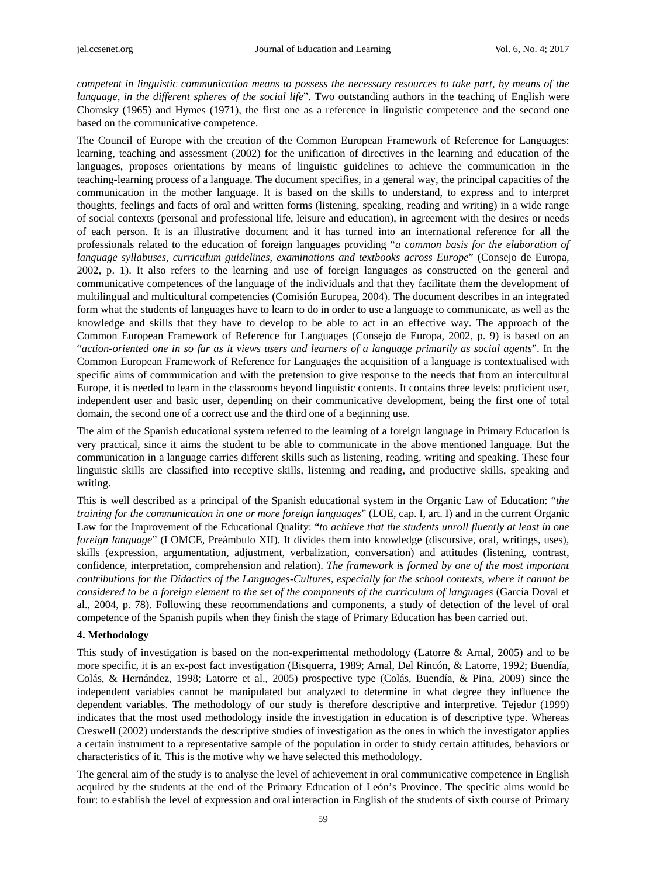*competent in linguistic communication means to possess the necessary resources to take part*, *by means of the language*, *in the different spheres of the social life*". Two outstanding authors in the teaching of English were Chomsky (1965) and Hymes (1971), the first one as a reference in linguistic competence and the second one based on the communicative competence.

The Council of Europe with the creation of the Common European Framework of Reference for Languages: learning, teaching and assessment (2002) for the unification of directives in the learning and education of the languages, proposes orientations by means of linguistic guidelines to achieve the communication in the teaching-learning process of a language. The document specifies, in a general way, the principal capacities of the communication in the mother language. It is based on the skills to understand, to express and to interpret thoughts, feelings and facts of oral and written forms (listening, speaking, reading and writing) in a wide range of social contexts (personal and professional life, leisure and education), in agreement with the desires or needs of each person. It is an illustrative document and it has turned into an international reference for all the professionals related to the education of foreign languages providing "*a common basis for the elaboration of language syllabuses*, *curriculum guidelines*, *examinations and textbooks across Europe*" (Consejo de Europa, 2002, p. 1). It also refers to the learning and use of foreign languages as constructed on the general and communicative competences of the language of the individuals and that they facilitate them the development of multilingual and multicultural competencies (Comisión Europea, 2004). The document describes in an integrated form what the students of languages have to learn to do in order to use a language to communicate, as well as the knowledge and skills that they have to develop to be able to act in an effective way. The approach of the Common European Framework of Reference for Languages (Consejo de Europa, 2002, p. 9) is based on an "*action-oriented one in so far as it views users and learners of a language primarily as social agents*". In the Common European Framework of Reference for Languages the acquisition of a language is contextualised with specific aims of communication and with the pretension to give response to the needs that from an intercultural Europe, it is needed to learn in the classrooms beyond linguistic contents. It contains three levels: proficient user, independent user and basic user, depending on their communicative development, being the first one of total domain, the second one of a correct use and the third one of a beginning use.

The aim of the Spanish educational system referred to the learning of a foreign language in Primary Education is very practical, since it aims the student to be able to communicate in the above mentioned language. But the communication in a language carries different skills such as listening, reading, writing and speaking. These four linguistic skills are classified into receptive skills, listening and reading, and productive skills, speaking and writing.

This is well described as a principal of the Spanish educational system in the Organic Law of Education: "*the training for the communication in one or more foreign languages*" (LOE, cap. I, art. I) and in the current Organic Law for the Improvement of the Educational Quality: "*to achieve that the students unroll fluently at least in one foreign language*" (LOMCE, Preámbulo XII). It divides them into knowledge (discursive, oral, writings, uses), skills (expression, argumentation, adjustment, verbalization, conversation) and attitudes (listening, contrast, confidence, interpretation, comprehension and relation). *The framework is formed by one of the most important contributions for the Didactics of the Languages-Cultures*, *especially for the school contexts*, *where it cannot be considered to be a foreign element to the set of the components of the curriculum of languages* (García Doval et al., 2004, p. 78). Following these recommendations and components, a study of detection of the level of oral competence of the Spanish pupils when they finish the stage of Primary Education has been carried out.

## **4. Methodology**

This study of investigation is based on the non-experimental methodology (Latorre & Arnal, 2005) and to be more specific, it is an ex-post fact investigation (Bisquerra, 1989; Arnal, Del Rincón, & Latorre, 1992; Buendía, Colás, & Hernández, 1998; Latorre et al., 2005) prospective type (Colás, Buendía, & Pina, 2009) since the independent variables cannot be manipulated but analyzed to determine in what degree they influence the dependent variables. The methodology of our study is therefore descriptive and interpretive. Tejedor (1999) indicates that the most used methodology inside the investigation in education is of descriptive type. Whereas Creswell (2002) understands the descriptive studies of investigation as the ones in which the investigator applies a certain instrument to a representative sample of the population in order to study certain attitudes, behaviors or characteristics of it. This is the motive why we have selected this methodology.

The general aim of the study is to analyse the level of achievement in oral communicative competence in English acquired by the students at the end of the Primary Education of León's Province. The specific aims would be four: to establish the level of expression and oral interaction in English of the students of sixth course of Primary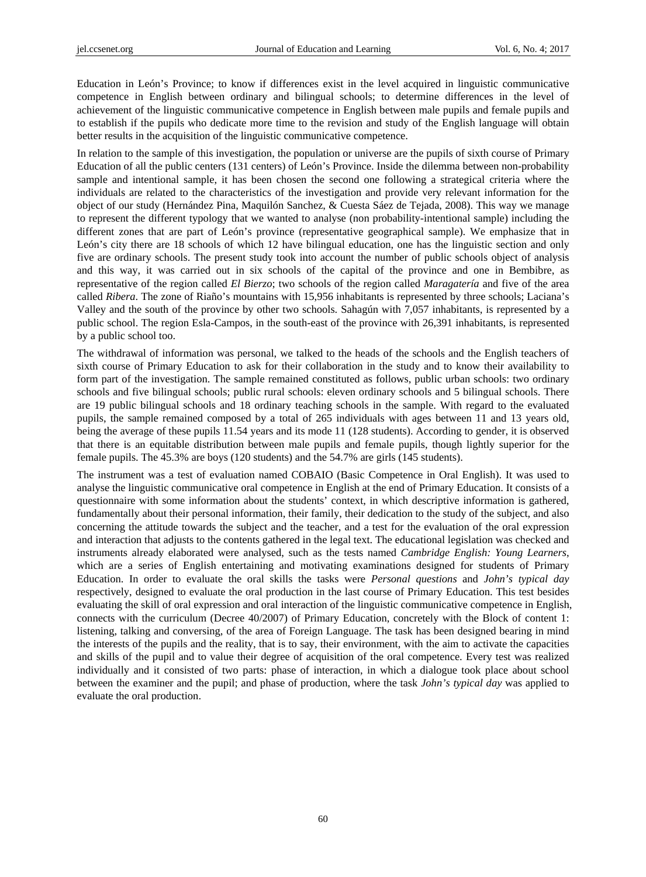Education in León's Province; to know if differences exist in the level acquired in linguistic communicative competence in English between ordinary and bilingual schools; to determine differences in the level of achievement of the linguistic communicative competence in English between male pupils and female pupils and to establish if the pupils who dedicate more time to the revision and study of the English language will obtain better results in the acquisition of the linguistic communicative competence.

In relation to the sample of this investigation, the population or universe are the pupils of sixth course of Primary Education of all the public centers (131 centers) of León's Province. Inside the dilemma between non-probability sample and intentional sample, it has been chosen the second one following a strategical criteria where the individuals are related to the characteristics of the investigation and provide very relevant information for the object of our study (Hernández Pina, Maquilón Sanchez, & Cuesta Sáez de Tejada, 2008). This way we manage to represent the different typology that we wanted to analyse (non probability-intentional sample) including the different zones that are part of León's province (representative geographical sample). We emphasize that in León's city there are 18 schools of which 12 have bilingual education, one has the linguistic section and only five are ordinary schools. The present study took into account the number of public schools object of analysis and this way, it was carried out in six schools of the capital of the province and one in Bembibre, as representative of the region called *El Bierzo*; two schools of the region called *Maragatería* and five of the area called *Ribera*. The zone of Riaño's mountains with 15,956 inhabitants is represented by three schools; Laciana's Valley and the south of the province by other two schools. Sahagún with 7,057 inhabitants, is represented by a public school. The region Esla-Campos, in the south-east of the province with 26,391 inhabitants, is represented by a public school too.

The withdrawal of information was personal, we talked to the heads of the schools and the English teachers of sixth course of Primary Education to ask for their collaboration in the study and to know their availability to form part of the investigation. The sample remained constituted as follows, public urban schools: two ordinary schools and five bilingual schools; public rural schools: eleven ordinary schools and 5 bilingual schools. There are 19 public bilingual schools and 18 ordinary teaching schools in the sample. With regard to the evaluated pupils, the sample remained composed by a total of 265 individuals with ages between 11 and 13 years old, being the average of these pupils 11.54 years and its mode 11 (128 students). According to gender, it is observed that there is an equitable distribution between male pupils and female pupils, though lightly superior for the female pupils. The 45.3% are boys (120 students) and the 54.7% are girls (145 students).

The instrument was a test of evaluation named COBAIO (Basic Competence in Oral English). It was used to analyse the linguistic communicative oral competence in English at the end of Primary Education. It consists of a questionnaire with some information about the students' context, in which descriptive information is gathered, fundamentally about their personal information, their family, their dedication to the study of the subject, and also concerning the attitude towards the subject and the teacher, and a test for the evaluation of the oral expression and interaction that adjusts to the contents gathered in the legal text. The educational legislation was checked and instruments already elaborated were analysed, such as the tests named *Cambridge English: Young Learners*, which are a series of English entertaining and motivating examinations designed for students of Primary Education. In order to evaluate the oral skills the tasks were *Personal questions* and *John's typical day* respectively, designed to evaluate the oral production in the last course of Primary Education. This test besides evaluating the skill of oral expression and oral interaction of the linguistic communicative competence in English, connects with the curriculum (Decree 40/2007) of Primary Education, concretely with the Block of content 1: listening, talking and conversing, of the area of Foreign Language. The task has been designed bearing in mind the interests of the pupils and the reality, that is to say, their environment, with the aim to activate the capacities and skills of the pupil and to value their degree of acquisition of the oral competence. Every test was realized individually and it consisted of two parts: phase of interaction, in which a dialogue took place about school between the examiner and the pupil; and phase of production, where the task *John's typical day* was applied to evaluate the oral production.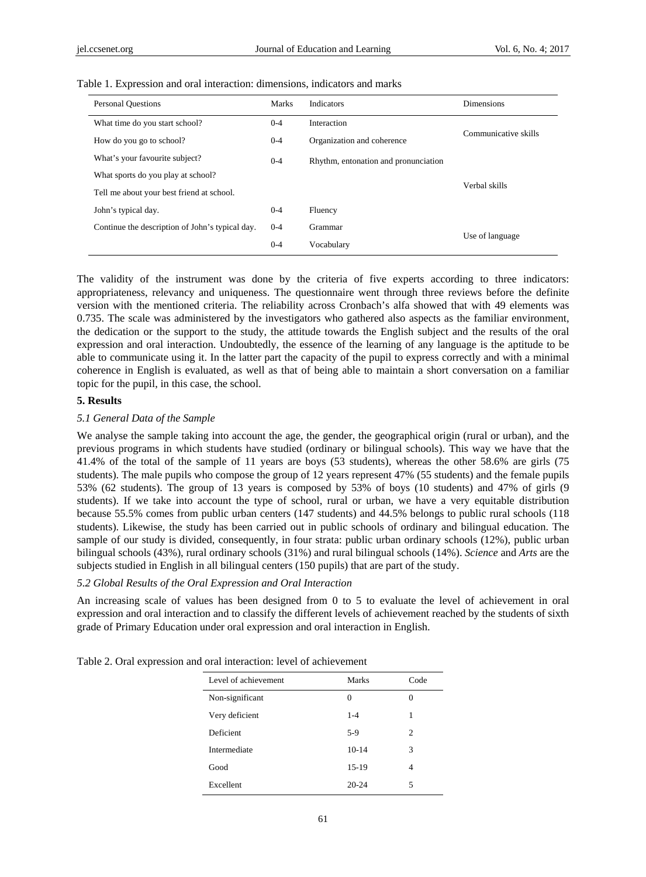| <b>Personal Questions</b>                       | Marks                 | <b>Indicators</b>                    | <b>Dimensions</b>    |  |
|-------------------------------------------------|-----------------------|--------------------------------------|----------------------|--|
| What time do you start school?                  | $0 - 4$               | Interaction                          | Communicative skills |  |
| How do you go to school?                        | $0 - 4$               | Organization and coherence           |                      |  |
| What's your favourite subject?                  | $0 - 4$               | Rhythm, entonation and pronunciation |                      |  |
| What sports do you play at school?              |                       |                                      |                      |  |
| Tell me about your best friend at school.       |                       | Verbal skills                        |                      |  |
| John's typical day.                             | $0 - 4$               | Fluency                              |                      |  |
| Continue the description of John's typical day. | $0 - 4$               | Grammar                              |                      |  |
|                                                 | $0 - 4$<br>Vocabulary |                                      | Use of language      |  |

#### Table 1. Expression and oral interaction: dimensions, indicators and marks

The validity of the instrument was done by the criteria of five experts according to three indicators: appropriateness, relevancy and uniqueness. The questionnaire went through three reviews before the definite version with the mentioned criteria. The reliability across Cronbach's alfa showed that with 49 elements was 0.735. The scale was administered by the investigators who gathered also aspects as the familiar environment, the dedication or the support to the study, the attitude towards the English subject and the results of the oral expression and oral interaction. Undoubtedly, the essence of the learning of any language is the aptitude to be able to communicate using it. In the latter part the capacity of the pupil to express correctly and with a minimal coherence in English is evaluated, as well as that of being able to maintain a short conversation on a familiar topic for the pupil, in this case, the school.

# **5. Results**

# *5.1 General Data of the Sample*

We analyse the sample taking into account the age, the gender, the geographical origin (rural or urban), and the previous programs in which students have studied (ordinary or bilingual schools). This way we have that the 41.4% of the total of the sample of 11 years are boys (53 students), whereas the other 58.6% are girls (75 students). The male pupils who compose the group of 12 years represent 47% (55 students) and the female pupils 53% (62 students). The group of 13 years is composed by 53% of boys (10 students) and 47% of girls (9 students). If we take into account the type of school, rural or urban, we have a very equitable distribution because 55.5% comes from public urban centers (147 students) and 44.5% belongs to public rural schools (118 students). Likewise, the study has been carried out in public schools of ordinary and bilingual education. The sample of our study is divided, consequently, in four strata: public urban ordinary schools (12%), public urban bilingual schools (43%), rural ordinary schools (31%) and rural bilingual schools (14%). *Science* and *Arts* are the subjects studied in English in all bilingual centers (150 pupils) that are part of the study.

### *5.2 Global Results of the Oral Expression and Oral Interaction*

An increasing scale of values has been designed from 0 to 5 to evaluate the level of achievement in oral expression and oral interaction and to classify the different levels of achievement reached by the students of sixth grade of Primary Education under oral expression and oral interaction in English.

| Level of achievement | Marks     | Code |
|----------------------|-----------|------|
| Non-significant      | $\Omega$  | 0    |
| Very deficient       | $1 - 4$   | 1    |
| Deficient            | $5-9$     | 2    |
| Intermediate         | $10-14$   | 3    |
| Good                 | $15-19$   | 4    |
| Excellent            | $20 - 24$ | 5    |
|                      |           |      |

Table 2. Oral expression and oral interaction: level of achievement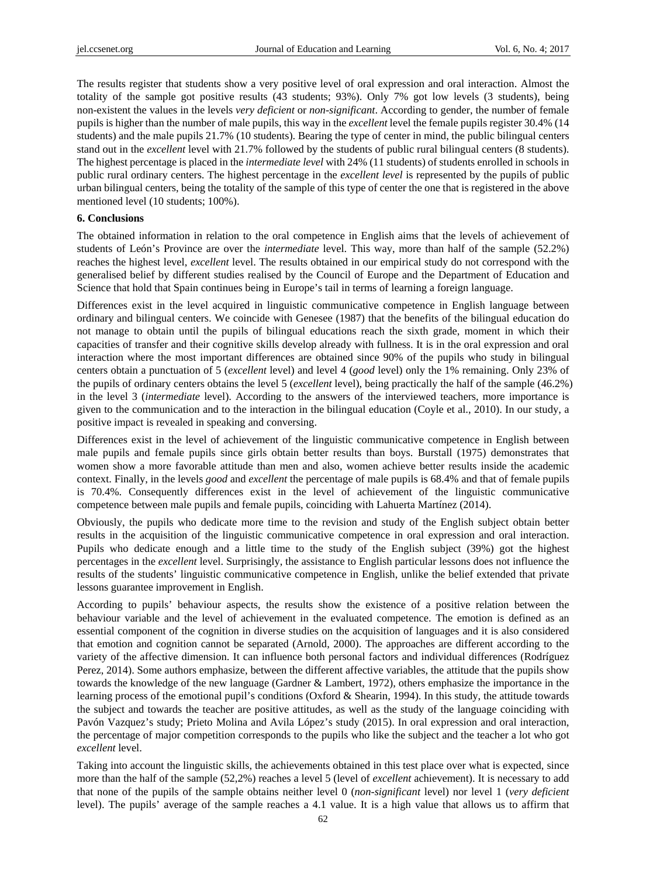The results register that students show a very positive level of oral expression and oral interaction. Almost the totality of the sample got positive results (43 students; 93%). Only 7% got low levels (3 students), being non-existent the values in the levels *very deficient* or *non-significant*. According to gender, the number of female pupils is higher than the number of male pupils, this way in the *excellent* level the female pupils register 30.4% (14 students) and the male pupils 21.7% (10 students). Bearing the type of center in mind, the public bilingual centers stand out in the *excellent* level with 21.7% followed by the students of public rural bilingual centers (8 students). The highest percentage is placed in the *intermediate level* with 24% (11 students) of students enrolled in schools in public rural ordinary centers. The highest percentage in the *excellent level* is represented by the pupils of public urban bilingual centers, being the totality of the sample of this type of center the one that is registered in the above mentioned level (10 students; 100%).

## **6. Conclusions**

The obtained information in relation to the oral competence in English aims that the levels of achievement of students of León's Province are over the *intermediate* level. This way, more than half of the sample (52.2%) reaches the highest level, *excellent* level. The results obtained in our empirical study do not correspond with the generalised belief by different studies realised by the Council of Europe and the Department of Education and Science that hold that Spain continues being in Europe's tail in terms of learning a foreign language.

Differences exist in the level acquired in linguistic communicative competence in English language between ordinary and bilingual centers. We coincide with Genesee (1987) that the benefits of the bilingual education do not manage to obtain until the pupils of bilingual educations reach the sixth grade, moment in which their capacities of transfer and their cognitive skills develop already with fullness. It is in the oral expression and oral interaction where the most important differences are obtained since 90% of the pupils who study in bilingual centers obtain a punctuation of 5 (*excellent* level) and level 4 (*good* level) only the 1% remaining. Only 23% of the pupils of ordinary centers obtains the level 5 (*excellent* level), being practically the half of the sample (46.2%) in the level 3 (*intermediate* level). According to the answers of the interviewed teachers, more importance is given to the communication and to the interaction in the bilingual education (Coyle et al., 2010). In our study, a positive impact is revealed in speaking and conversing.

Differences exist in the level of achievement of the linguistic communicative competence in English between male pupils and female pupils since girls obtain better results than boys. Burstall (1975) demonstrates that women show a more favorable attitude than men and also, women achieve better results inside the academic context. Finally, in the levels *good* and *excellent* the percentage of male pupils is 68.4% and that of female pupils is 70.4%. Consequently differences exist in the level of achievement of the linguistic communicative competence between male pupils and female pupils, coinciding with Lahuerta Martínez (2014).

Obviously, the pupils who dedicate more time to the revision and study of the English subject obtain better results in the acquisition of the linguistic communicative competence in oral expression and oral interaction. Pupils who dedicate enough and a little time to the study of the English subject (39%) got the highest percentages in the *excellent* level. Surprisingly, the assistance to English particular lessons does not influence the results of the students' linguistic communicative competence in English, unlike the belief extended that private lessons guarantee improvement in English.

According to pupils' behaviour aspects, the results show the existence of a positive relation between the behaviour variable and the level of achievement in the evaluated competence. The emotion is defined as an essential component of the cognition in diverse studies on the acquisition of languages and it is also considered that emotion and cognition cannot be separated (Arnold, 2000). The approaches are different according to the variety of the affective dimension. It can influence both personal factors and individual differences (Rodríguez Perez, 2014). Some authors emphasize, between the different affective variables, the attitude that the pupils show towards the knowledge of the new language (Gardner & Lambert, 1972), others emphasize the importance in the learning process of the emotional pupil's conditions (Oxford & Shearin, 1994). In this study, the attitude towards the subject and towards the teacher are positive attitudes, as well as the study of the language coinciding with Pavón Vazquez's study; Prieto Molina and Avila López's study (2015). In oral expression and oral interaction, the percentage of major competition corresponds to the pupils who like the subject and the teacher a lot who got *excellent* level.

Taking into account the linguistic skills, the achievements obtained in this test place over what is expected, since more than the half of the sample (52,2%) reaches a level 5 (level of *excellent* achievement). It is necessary to add that none of the pupils of the sample obtains neither level 0 (*non-significant* level) nor level 1 (*very deficient* level). The pupils' average of the sample reaches a 4.1 value. It is a high value that allows us to affirm that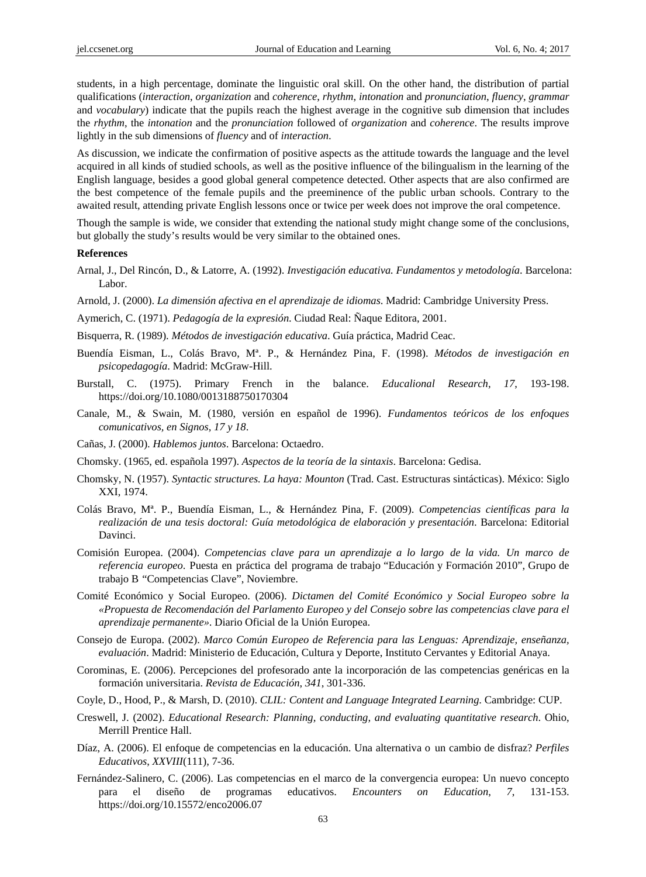students, in a high percentage, dominate the linguistic oral skill. On the other hand, the distribution of partial qualifications (*interaction*, *organization* and *coherence*, *rhythm*, *intonation* and *pronunciation*, *fluency*, *grammar* and *vocabulary*) indicate that the pupils reach the highest average in the cognitive sub dimension that includes the *rhythm*, the *intonation* and the *pronunciation* followed of *organization* and *coherence*. The results improve lightly in the sub dimensions of *fluency* and of *interaction*.

As discussion, we indicate the confirmation of positive aspects as the attitude towards the language and the level acquired in all kinds of studied schools, as well as the positive influence of the bilingualism in the learning of the English language, besides a good global general competence detected. Other aspects that are also confirmed are the best competence of the female pupils and the preeminence of the public urban schools. Contrary to the awaited result, attending private English lessons once or twice per week does not improve the oral competence.

Though the sample is wide, we consider that extending the national study might change some of the conclusions, but globally the study's results would be very similar to the obtained ones.

## **References**

- Arnal, J., Del Rincón, D., & Latorre, A. (1992). *Investigación educativa. Fundamentos y metodología*. Barcelona: Labor.
- Arnold, J. (2000). *La dimensión afectiva en el aprendizaje de idiomas*. Madrid: Cambridge University Press.
- Aymerich, C. (1971). *Pedagogía de la expresión*. Ciudad Real: Ñaque Editora, 2001.
- Bisquerra, R. (1989). *Métodos de investigación educativa*. Guía práctica, Madrid Ceac.
- Buendía Eisman, L., Colás Bravo, Mª. P., & Hernández Pina, F. (1998). *Métodos de investigación en psicopedagogía*. Madrid: McGraw-Hill.
- Burstall, C. (1975). Primary French in the balance. *Educalional Research*, *17*, 193-198. https://doi.org/10.1080/0013188750170304
- Canale, M., & Swain, M. (1980, versión en español de 1996). *Fundamentos teóricos de los enfoques comunicativos, en Signos, 17 y 18*.
- Cañas, J. (2000). *Hablemos juntos*. Barcelona: Octaedro.
- Chomsky. (1965, ed. española 1997). *Aspectos de la teoría de la sintaxis*. Barcelona: Gedisa.
- Chomsky, N. (1957). *Syntactic structures. La haya: Mounton* (Trad. Cast. Estructuras sintácticas). México: Siglo XXI, 1974.
- Colás Bravo, Mª. P., Buendía Eisman, L., & Hernández Pina, F. (2009). *Competencias científicas para la realización de una tesis doctoral: Guía metodológica de elaboración y presentación*. Barcelona: Editorial Davinci.
- Comisión Europea. (2004). *Competencias clave para un aprendizaje a lo largo de la vida. Un marco de referencia europeo*. Puesta en práctica del programa de trabajo "Educación y Formación 2010", Grupo de trabajo B "Competencias Clave", Noviembre.
- Comité Económico y Social Europeo. (2006). *Dictamen del Comité Económico y Social Europeo sobre la «Propuesta de Recomendación del Parlamento Europeo y del Consejo sobre las competencias clave para el aprendizaje permanente»*. Diario Oficial de la Unión Europea.
- Consejo de Europa. (2002). *Marco Común Europeo de Referencia para las Lenguas: Aprendizaje, enseñanza, evaluación*. Madrid: Ministerio de Educación, Cultura y Deporte, Instituto Cervantes y Editorial Anaya.
- Corominas, E. (2006). Percepciones del profesorado ante la incorporación de las competencias genéricas en la formación universitaria. *Revista de Educación*, *341*, 301-336.
- Coyle, D., Hood, P., & Marsh, D. (2010). *CLIL: Content and Language Integrated Learning*. Cambridge: CUP.
- Creswell, J. (2002). *Educational Research: Planning, conducting, and evaluating quantitative research*. Ohio, Merrill Prentice Hall.
- Díaz, A. (2006). El enfoque de competencias en la educación. Una alternativa o un cambio de disfraz? *Perfiles Educativos*, *XXVIII*(111), 7-36.
- Fernández-Salinero, C. (2006). Las competencias en el marco de la convergencia europea: Un nuevo concepto para el diseño de programas educativos. *Encounters on Education*, *7*, 131-153. https://doi.org/10.15572/enco2006.07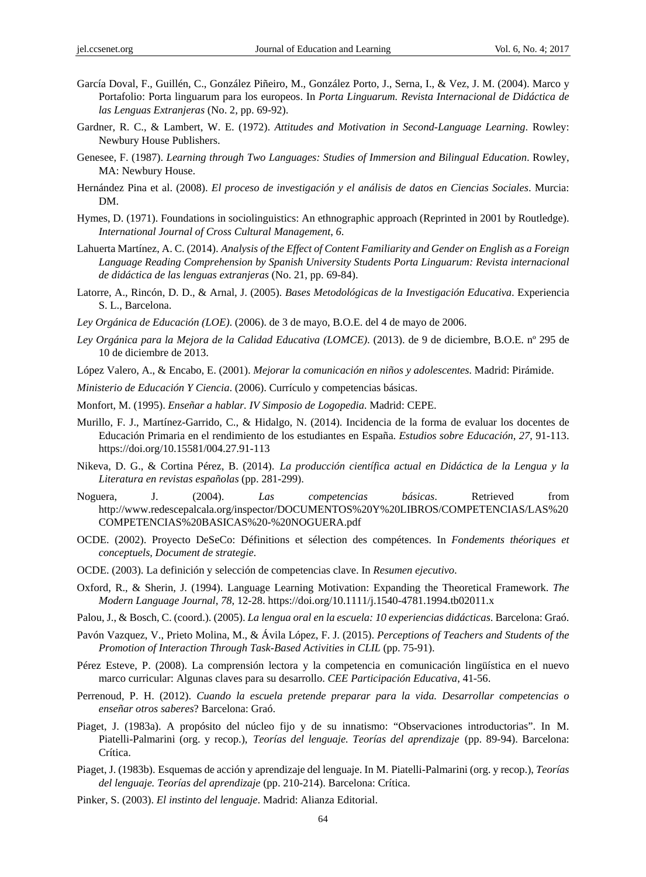- García Doval, F., Guillén, C., González Piñeiro, M., González Porto, J., Serna, I., & Vez, J. M. (2004). Marco y Portafolio: Porta linguarum para los europeos. In *Porta Linguarum. Revista Internacional de Didáctica de las Lenguas Extranjeras* (No. 2, pp. 69-92).
- Gardner, R. C., & Lambert, W. E. (1972). *Attitudes and Motivation in Second-Language Learning*. Rowley: Newbury House Publishers.
- Genesee, F. (1987). *Learning through Two Languages: Studies of Immersion and Bilingual Education*. Rowley, MA: Newbury House.
- Hernández Pina et al. (2008). *El proceso de investigación y el análisis de datos en Ciencias Sociales*. Murcia: DM.
- Hymes, D. (1971). Foundations in sociolinguistics: An ethnographic approach (Reprinted in 2001 by Routledge). *International Journal of Cross Cultural Management*, *6*.
- Lahuerta Martínez, A. C. (2014). *Analysis of the Effect of Content Familiarity and Gender on English as a Foreign Language Reading Comprehension by Spanish University Students Porta Linguarum: Revista internacional de didáctica de las lenguas extranjeras* (No. 21, pp. 69-84).
- Latorre, A., Rincón, D. D., & Arnal, J. (2005). *Bases Metodológicas de la Investigación Educativa*. Experiencia S. L., Barcelona.
- *Ley Orgánica de Educación (LOE)*. (2006). de 3 de mayo, B.O.E. del 4 de mayo de 2006.
- *Ley Orgánica para la Mejora de la Calidad Educativa (LOMCE)*. (2013). de 9 de diciembre, B.O.E. nº 295 de 10 de diciembre de 2013.
- López Valero, A., & Encabo, E. (2001). *Mejorar la comunicación en niños y adolescentes*. Madrid: Pirámide.

*Ministerio de Educación Y Ciencia*. (2006). Currículo y competencias básicas.

- Monfort, M. (1995). *Enseñar a hablar. IV Simposio de Logopedia*. Madrid: CEPE.
- Murillo, F. J., Martínez-Garrido, C., & Hidalgo, N. (2014). Incidencia de la forma de evaluar los docentes de Educación Primaria en el rendimiento de los estudiantes en España. *Estudios sobre Educación*, *27*, 91-113. https://doi.org/10.15581/004.27.91-113
- Nikeva, D. G., & Cortina Pérez, B. (2014). *La producción científica actual en Didáctica de la Lengua y la Literatura en revistas españolas* (pp. 281-299).
- Noguera, J. (2004). *Las competencias básicas*. Retrieved from http://www.redescepalcala.org/inspector/DOCUMENTOS%20Y%20LIBROS/COMPETENCIAS/LAS%20 COMPETENCIAS%20BASICAS%20-%20NOGUERA.pdf
- OCDE. (2002). Proyecto DeSeCo: Définitions et sélection des compétences. In *Fondements théoriques et conceptuels, Document de strategie*.
- OCDE. (2003). La definición y selección de competencias clave. In *Resumen ejecutivo*.
- Oxford, R., & Sherin, J. (1994). Language Learning Motivation: Expanding the Theoretical Framework. *The Modern Language Journal*, *78*, 12-28. https://doi.org/10.1111/j.1540-4781.1994.tb02011.x
- Palou, J., & Bosch, C. (coord.). (2005). *La lengua oral en la escuela: 10 experiencias didácticas*. Barcelona: Graó.
- Pavón Vazquez, V., Prieto Molina, M., & Ávila López, F. J. (2015). *Perceptions of Teachers and Students of the Promotion of Interaction Through Task-Based Activities in CLIL* (pp. 75-91).
- Pérez Esteve, P. (2008). La comprensión lectora y la competencia en comunicación lingüística en el nuevo marco curricular: Algunas claves para su desarrollo. *CEE Participación Educativa*, 41-56.
- Perrenoud, P. H. (2012). *Cuando la escuela pretende preparar para la vida. Desarrollar competencias o enseñar otros saberes*? Barcelona: Graó.
- Piaget, J. (1983a). A propósito del núcleo fijo y de su innatismo: "Observaciones introductorias". In M. Piatelli-Palmarini (org. y recop.), *Teorías del lenguaje. Teorías del aprendizaje* (pp. 89-94). Barcelona: Crítica.
- Piaget, J. (1983b). Esquemas de acción y aprendizaje del lenguaje. In M. Piatelli-Palmarini (org. y recop.), *Teorías del lenguaje. Teorías del aprendizaje* (pp. 210-214). Barcelona: Crítica.
- Pinker, S. (2003). *El instinto del lenguaje*. Madrid: Alianza Editorial.